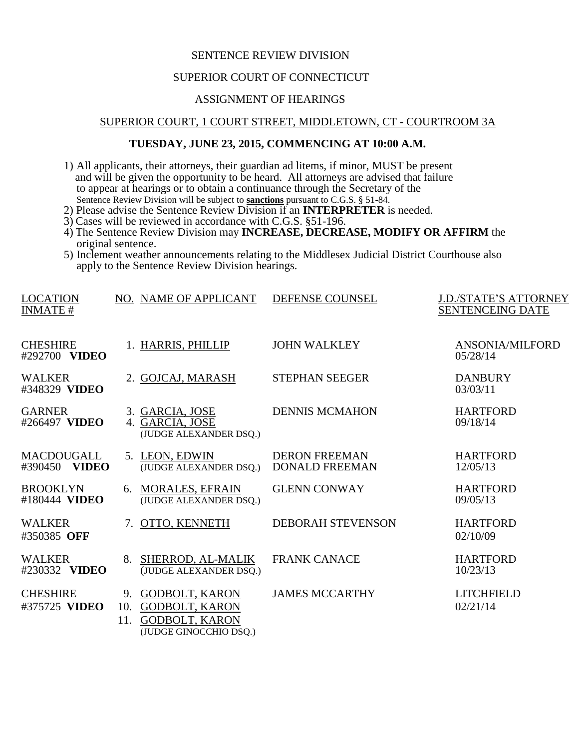# SENTENCE REVIEW DIVISION

#### SUPERIOR COURT OF CONNECTICUT

# ASSIGNMENT OF HEARINGS

### SUPERIOR COURT, 1 COURT STREET, MIDDLETOWN, CT - COURTROOM 3A

#### **TUESDAY, JUNE 23, 2015, COMMENCING AT 10:00 A.M.**

- 1) All applicants, their attorneys, their guardian ad litems, if minor, MUST be present and will be given the opportunity to be heard. All attorneys are advised that failure to appear at hearings or to obtain a continuance through the Secretary of the Sentence Review Division will be subject to **sanctions** pursuant to C.G.S. § 51-84.
- 2) Please advise the Sentence Review Division if an **INTERPRETER** is needed.
- 3) Cases will be reviewed in accordance with C.G.S. §51-196.
- 4) The Sentence Review Division may **INCREASE, DECREASE, MODIFY OR AFFIRM** the original sentence.
- 5) Inclement weather announcements relating to the Middlesex Judicial District Courthouse also apply to the Sentence Review Division hearings.

| <b>LOCATION</b><br><b>INMATE#</b>  | NO. NAME OF APPLICANT                                                                                       | DEFENSE COUNSEL                               | <b>J.D./STATE'S ATTORNEY</b><br>SENTENCEING DATE |
|------------------------------------|-------------------------------------------------------------------------------------------------------------|-----------------------------------------------|--------------------------------------------------|
| <b>CHESHIRE</b><br>#292700 VIDEO   | 1. HARRIS, PHILLIP                                                                                          | <b>JOHN WALKLEY</b>                           | <b>ANSONIA/MILFORD</b><br>05/28/14               |
| <b>WALKER</b><br>#348329 VIDEO     | 2. GOJCAJ, MARASH                                                                                           | <b>STEPHAN SEEGER</b>                         | <b>DANBURY</b><br>03/03/11                       |
| <b>GARNER</b><br>#266497 VIDEO     | 3. GARCIA, JOSE<br>4. GARCIA, JOSE<br>(JUDGE ALEXANDER DSQ.)                                                | <b>DENNIS MCMAHON</b>                         | <b>HARTFORD</b><br>09/18/14                      |
| <b>MACDOUGALL</b><br>#390450 VIDEO | 5. LEON, EDWIN<br>(JUDGE ALEXANDER DSQ.)                                                                    | <b>DERON FREEMAN</b><br><b>DONALD FREEMAN</b> | <b>HARTFORD</b><br>12/05/13                      |
| <b>BROOKLYN</b><br>#180444 VIDEO   | 6. MORALES, EFRAIN<br>(JUDGE ALEXANDER DSQ.)                                                                | <b>GLENN CONWAY</b>                           | <b>HARTFORD</b><br>09/05/13                      |
| <b>WALKER</b><br>#350385 OFF       | OTTO, KENNETH<br>7.                                                                                         | <b>DEBORAH STEVENSON</b>                      | <b>HARTFORD</b><br>02/10/09                      |
| <b>WALKER</b><br>#230332 VIDEO     | 8. SHERROD, AL-MALIK<br>(JUDGE ALEXANDER DSQ.)                                                              | <b>FRANK CANACE</b>                           | <b>HARTFORD</b><br>10/23/13                      |
| <b>CHESHIRE</b><br>#375725 VIDEO   | 9. GODBOLT, KARON<br><b>GODBOLT, KARON</b><br>10.<br><b>GODBOLT, KARON</b><br>11.<br>(JUDGE GINOCCHIO DSQ.) | <b>JAMES MCCARTHY</b>                         | <b>LITCHFIELD</b><br>02/21/14                    |